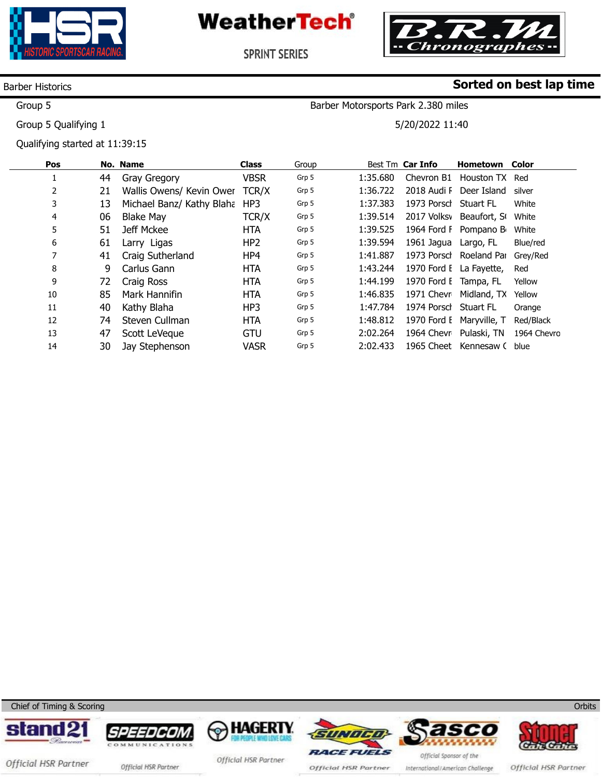



Barber Motorsports Park 2.380 miles

5/20/2022 11:40

**Sorted on best lap time**

SPRINT SERIES

### Barber Historics

Group 5

Group 5 Qualifying 1

Qualifying started at 11:39:15

| Pos |    | No. Name                  | <b>Class</b>    | Group |          | Best Tm Car Info      | <b>Hometown Color</b>            |             |
|-----|----|---------------------------|-----------------|-------|----------|-----------------------|----------------------------------|-------------|
|     | 44 | Gray Gregory              | <b>VBSR</b>     | Grp 5 | 1:35.680 |                       | Chevron B1 Houston TX Red        |             |
| 2   | 21 | Wallis Owens/ Kevin Ower  | TCR/X           | Grp 5 | 1:36.722 | 2018 Audi F           | Deer Island                      | silver      |
| 3   | 13 | Michael Banz/ Kathy Blaha | HP3             | Grp 5 | 1:37.383 | 1973 Porsch Stuart FL |                                  | White       |
| 4   | 06 | <b>Blake May</b>          | TCR/X           | Grp 5 | 1:39.514 |                       | 2017 Volksv Beaufort, St White   |             |
| 5   | 51 | Jeff Mckee                | HTA             | Grp 5 | 1:39.525 |                       | 1964 Ford F Pompano B            | White       |
| 6   | 61 | Larry Ligas               | HP <sub>2</sub> | Grp 5 | 1:39.594 | 1961 Jagua Largo, FL  |                                  | Blue/red    |
| 7   | 41 | Craig Sutherland          | HP4             | Grp 5 | 1:41.887 |                       | 1973 Porscl Roeland Pai Grey/Red |             |
| 8   | 9  | Carlus Gann               | <b>HTA</b>      | Grp 5 | 1:43.244 |                       | 1970 Ford E La Fayette,          | Red         |
| 9   | 72 | Craig Ross                | <b>HTA</b>      | Grp 5 | 1:44.199 | 1970 Ford E Tampa, FL |                                  | Yellow      |
| 10  | 85 | Mark Hannifin             | <b>HTA</b>      | Grp 5 | 1:46.835 |                       | 1971 Chevr Midland, TX           | Yellow      |
| 11  | 40 | Kathy Blaha               | HP3             | Grp 5 | 1:47.784 | 1974 Porsch Stuart FL |                                  | Orange      |
| 12  | 74 | Steven Cullman            | HTA             | Grp 5 | 1:48.812 |                       | 1970 Ford E Maryville, T         | Red/Black   |
| 13  | 47 | Scott LeVeque             | <b>GTU</b>      | Grp 5 | 2:02.264 |                       | 1964 Chevr Pulaski, TN           | 1964 Chevro |
| 14  | 30 | Jay Stephenson            | <b>VASR</b>     | Grp 5 | 2:02.433 |                       | 1965 Cheet Kennesaw (            | blue        |

Chief of Timing & Scoring















ww.mylaps.com

**Orbits** 

Official HSR Partner official HSR Partner

Official HSR Partner

Official HSR Partner

International/American Challenge

Official HSR Partner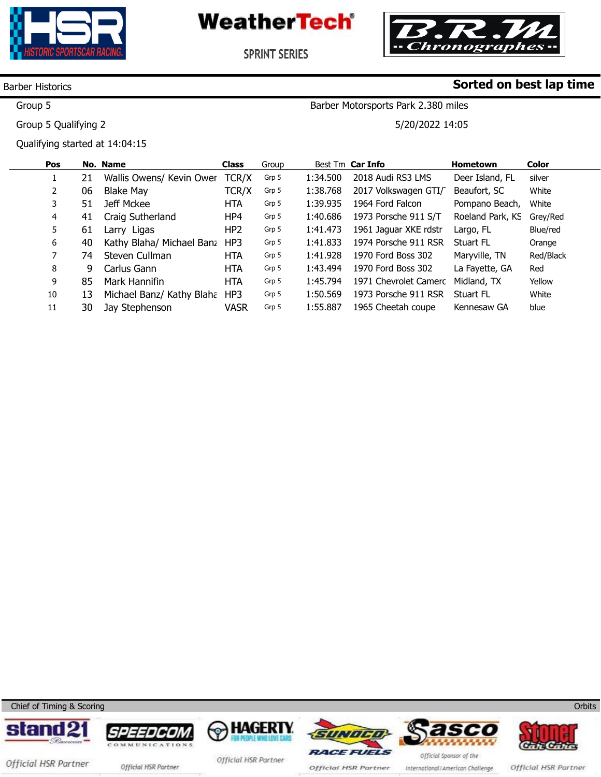



**SPRINT SERIES** 

### Barber Historics

Group 5

Group 5 Qualifying 2

Qualifying started at 14:04:15

### **Sorted on best lap time**

Barber Motorsports Park 2.380 miles

5/20/2022 14:05

| Pos |    | No. Name                  | <b>Class</b>    | Group |          | Best Tm Car Info      | <b>Hometown</b>  | <b>Color</b> |
|-----|----|---------------------------|-----------------|-------|----------|-----------------------|------------------|--------------|
|     | 21 | Wallis Owens/ Kevin Ower  | TCR/X           | Grp 5 | 1:34.500 | 2018 Audi RS3 LMS     | Deer Island, FL  | silver       |
| 2   | 06 | Blake May                 | TCR/X           | Grp 5 | 1:38.768 | 2017 Volkswagen GTI/  | Beaufort, SC     | White        |
| 3   | 51 | Jeff Mckee                | <b>HTA</b>      | Grp 5 | 1:39.935 | 1964 Ford Falcon      | Pompano Beach,   | White        |
| 4   | 41 | Craig Sutherland          | HP4             | Grp 5 | 1:40.686 | 1973 Porsche 911 S/T  | Roeland Park, KS | Grey/Red     |
| 5.  | 61 | Larry Ligas               | HP <sub>2</sub> | Grp 5 | 1:41.473 | 1961 Jaguar XKE rdstr | Largo, FL        | Blue/red     |
| 6   | 40 | Kathy Blaha/ Michael Banz | HP3             | Grp 5 | 1:41.833 | 1974 Porsche 911 RSR  | Stuart FL        | Orange       |
|     | 74 | Steven Cullman            | <b>HTA</b>      | Grp 5 | 1:41.928 | 1970 Ford Boss 302    | Maryville, TN    | Red/Black    |
| 8   | 9  | Carlus Gann               | <b>HTA</b>      | Grp 5 | 1:43.494 | 1970 Ford Boss 302    | La Fayette, GA   | Red          |
| 9   | 85 | Mark Hannifin             | <b>HTA</b>      | Grp 5 | 1:45.794 | 1971 Chevrolet Camerc | Midland, TX      | Yellow       |
| 10  | 13 | Michael Banz/ Kathy Blaha | HP3             | Grp 5 | 1:50.569 | 1973 Porsche 911 RSR  | <b>Stuart FL</b> | White        |
| 11  | 30 | Jay Stephenson            | <b>VASR</b>     | Grp 5 | 1:55.887 | 1965 Cheetah coupe    | Kennesaw GA      | blue         |

Chief of Timing & Scoring











Official HSR Partner

Official HSR Partner official HSR Partner

Official HSR Partner

Official HSR Partner

International/American Challenge

**Orbits**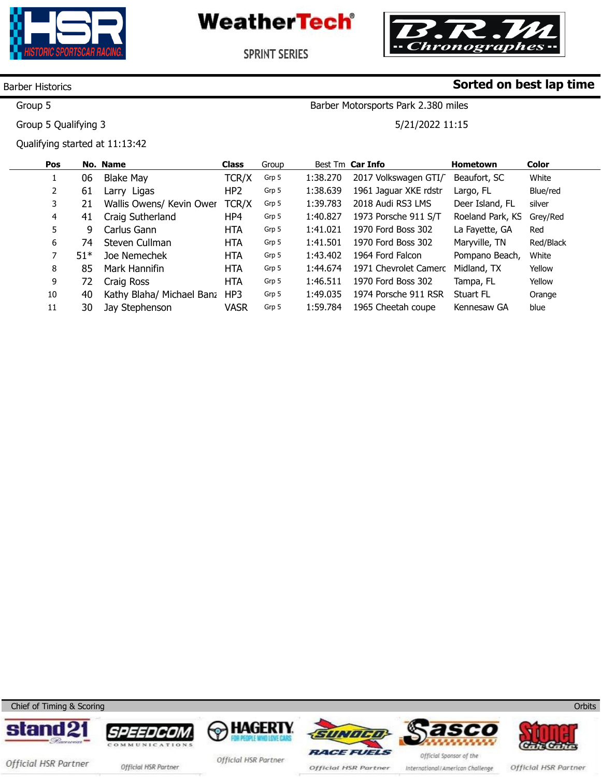



**SPRINT SERIES** 

### Barber Historics

Group 5

Group 5 Qualifying 3

Qualifying started at 11:13:42

**Sorted on best lap time** Barber Motorsports Park 2.380 miles

5/21/2022 11:15

| Pos |       | No. Name                  | <b>Class</b>    | Group |          | Best Tm Car Info      | <b>Hometown</b>  | <b>Color</b> |
|-----|-------|---------------------------|-----------------|-------|----------|-----------------------|------------------|--------------|
|     | 06    | <b>Blake May</b>          | TCR/X           | Grp 5 | 1:38.270 | 2017 Volkswagen GTI/  | Beaufort, SC     | White        |
| 2   | 61    | Larry Ligas               | HP <sub>2</sub> | Grp 5 | 1:38.639 | 1961 Jaguar XKE rdstr | Largo, FL        | Blue/red     |
| 3   | 21    | Wallis Owens/ Kevin Ower  | TCR/X           | Grp 5 | 1:39.783 | 2018 Audi RS3 LMS     | Deer Island, FL  | silver       |
| 4   | 41    | Craig Sutherland          | HP4             | Grp 5 | 1:40.827 | 1973 Porsche 911 S/T  | Roeland Park, KS | Grey/Red     |
| 5   | 9     | Carlus Gann               | <b>HTA</b>      | Grp 5 | 1:41.021 | 1970 Ford Boss 302    | La Fayette, GA   | Red          |
| 6   | 74    | Steven Cullman            | <b>HTA</b>      | Grp 5 | 1:41.501 | 1970 Ford Boss 302    | Maryville, TN    | Red/Black    |
|     | $51*$ | Joe Nemechek              | <b>HTA</b>      | Grp 5 | 1:43.402 | 1964 Ford Falcon      | Pompano Beach,   | White        |
| 8   | 85    | Mark Hannifin             | <b>HTA</b>      | Grp 5 | 1:44.674 | 1971 Chevrolet Camerc | Midland, TX      | Yellow       |
| 9   | 72    | Craig Ross                | <b>HTA</b>      | Grp 5 | 1:46.511 | 1970 Ford Boss 302    | Tampa, FL        | Yellow       |
| 10  | 40    | Kathy Blaha/ Michael Banz | HP3             | Grp 5 | 1:49.035 | 1974 Porsche 911 RSR  | Stuart FL        | Orange       |
| 11  | 30    | Jay Stephenson            | <b>VASR</b>     | Grp 5 | 1:59.784 | 1965 Cheetah coupe    | Kennesaw GA      | blue         |

Chief of Timing & Scoring















Official HSR Partner official HSR Partner

Official HSR Partner

Official HSR Partner

International/American Challenge

Official HSR Partner

**Orbits**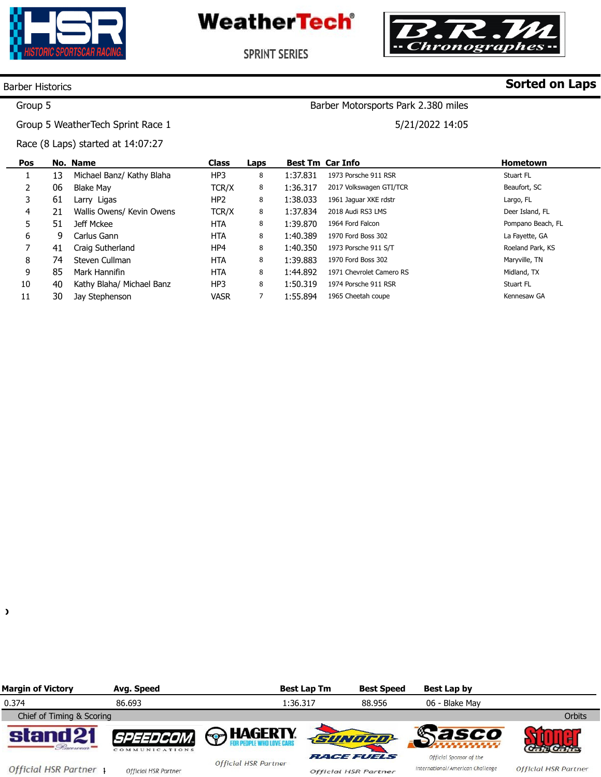



Barber Motorsports Park 2.380 miles

5/21/2022 14:05

**SPRINT SERIES** 

### Barber Historics

# **Sorted on Laps**

### Group 5

Group 5 WeatherTech Sprint Race 1

Race (8 Laps) started at 14:07:27

| Pos |    | No. Name                  | <b>Class</b>    | Laps |          | <b>Best Tm Car Info</b>  | <b>Hometown</b>   |
|-----|----|---------------------------|-----------------|------|----------|--------------------------|-------------------|
|     | 13 | Michael Banz/ Kathy Blaha | HP3             | 8    | 1:37.831 | 1973 Porsche 911 RSR     | Stuart FL         |
|     | 06 | <b>Blake May</b>          | TCR/X           | 8    | 1:36.317 | 2017 Volkswagen GTI/TCR  | Beaufort, SC      |
| 3   | 61 | Larry Ligas               | HP <sub>2</sub> | 8    | 1:38.033 | 1961 Jaquar XKE rdstr    | Largo, FL         |
| 4   | 21 | Wallis Owens/ Kevin Owens | TCR/X           | 8    | 1:37.834 | 2018 Audi RS3 LMS        | Deer Island, FL   |
| 5   | 51 | Jeff Mckee                | HTA             | 8    | 1:39.870 | 1964 Ford Falcon         | Pompano Beach, FL |
| 6   | 9  | Carlus Gann               | <b>HTA</b>      | 8    | 1:40.389 | 1970 Ford Boss 302       | La Fayette, GA    |
| 7   | 41 | Craig Sutherland          | HP4             | 8    | 1:40.350 | 1973 Porsche 911 S/T     | Roeland Park, KS  |
| 8   | 74 | Steven Cullman            | <b>HTA</b>      | 8    | 1:39.883 | 1970 Ford Boss 302       | Maryville, TN     |
| 9   | 85 | Mark Hannifin             | <b>HTA</b>      | 8    | 1:44.892 | 1971 Chevrolet Camero RS | Midland, TX       |
| 10  | 40 | Kathy Blaha/ Michael Banz | HP3             | 8    | 1:50.319 | 1974 Porsche 911 RSR     | Stuart FL         |
| 11  | 30 | Jay Stephenson            | <b>VASR</b>     | 7    | 1:55.894 | 1965 Cheetah coupe       | Kennesaw GA       |

| č<br>I  |
|---------|
| ĉ<br>۰. |